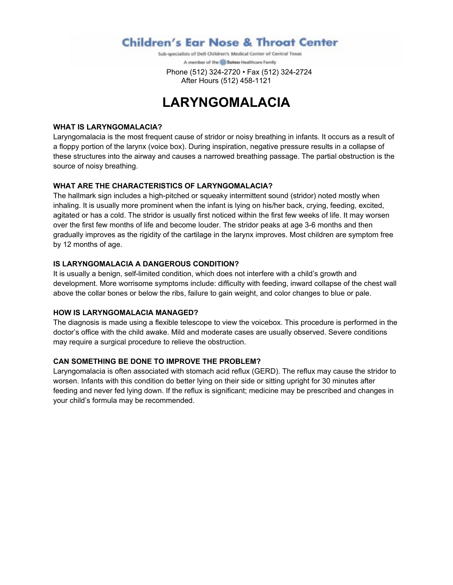### **Children's Ear Nose & Throat Center**

Sub-specialists of Dell Children's Medical Center of Central Texas A member of the @ Selion Healthcare Family

 Phone (512) 324-2720 • Fax (512) 324-2724 After Hours (512) 458-1121

## **LARYNGOMALACIA**

#### **WHAT IS LARYNGOMALACIA?**

Laryngomalacia is the most frequent cause of stridor or noisy breathing in infants. It occurs as a result of a floppy portion of the larynx (voice box). During inspiration, negative pressure results in a collapse of these structures into the airway and causes a narrowed breathing passage. The partial obstruction is the source of noisy breathing.

#### **WHAT ARE THE CHARACTERISTICS OF LARYNGOMALACIA?**

The hallmark sign includes a high-pitched or squeaky intermittent sound (stridor) noted mostly when inhaling. It is usually more prominent when the infant is lying on his/her back, crying, feeding, excited, agitated or has a cold. The stridor is usually first noticed within the first few weeks of life. It may worsen over the first few months of life and become louder. The stridor peaks at age 3-6 months and then gradually improves as the rigidity of the cartilage in the larynx improves. Most children are symptom free by 12 months of age.

#### **IS LARYNGOMALACIA A DANGEROUS CONDITION?**

It is usually a benign, self-limited condition, which does not interfere with a child's growth and development. More worrisome symptoms include: difficulty with feeding, inward collapse of the chest wall above the collar bones or below the ribs, failure to gain weight, and color changes to blue or pale.

#### **HOW IS LARYNGOMALACIA MANAGED?**

The diagnosis is made using a flexible telescope to view the voicebox. This procedure is performed in the doctor's office with the child awake. Mild and moderate cases are usually observed. Severe conditions may require a surgical procedure to relieve the obstruction.

#### **CAN SOMETHING BE DONE TO IMPROVE THE PROBLEM?**

Laryngomalacia is often associated with stomach acid reflux (GERD). The reflux may cause the stridor to worsen. Infants with this condition do better lying on their side or sitting upright for 30 minutes after feeding and never fed lying down. If the reflux is significant; medicine may be prescribed and changes in your child's formula may be recommended.